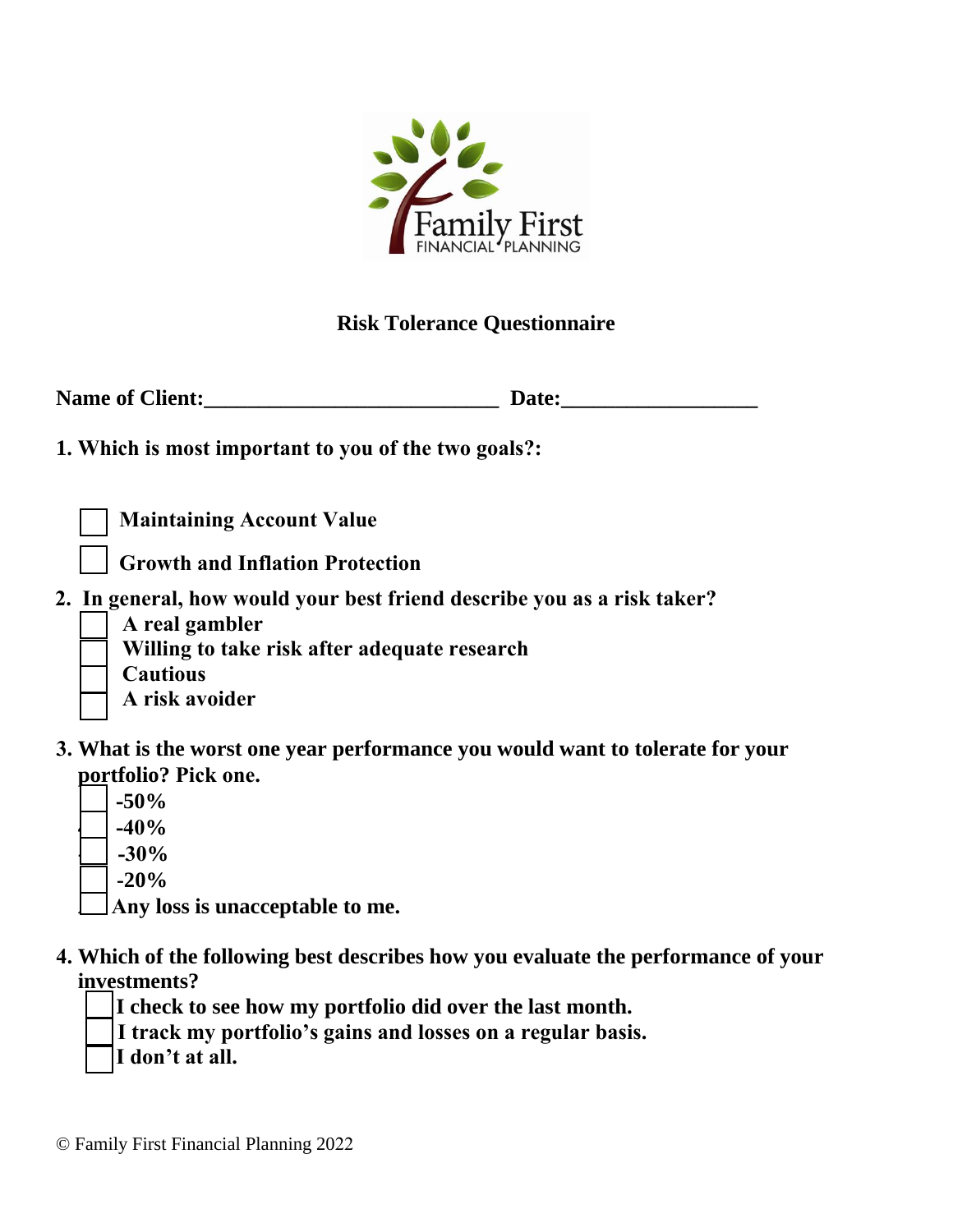

## **Risk Tolerance Questionnaire**

| <b>Name of Client:</b> | <b>Date:</b> |
|------------------------|--------------|
|------------------------|--------------|

**1. Which is most important to you of the two goals?:**

 **Maintaining Account Value**

 **Growth and Inflation Protection**

- **2. In general, how would your best friend describe you as a risk taker?**
	- **A real gambler**

 **Willing to take risk after adequate research**

 **Cautious**

 **A risk avoider**

- **3. What is the worst one year performance you would want to tolerate for your portfolio? Pick one.**
	- **-50% 4 -40% -30 -30% -20%**

**An Any loss is unacceptable to me.**

**4. Which of the following best describes how you evaluate the performance of your investments?**

**I check to see how my portfolio did over the last month.**

**I track my portfolio's gains and losses on a regular basis.**

**I don't at all.**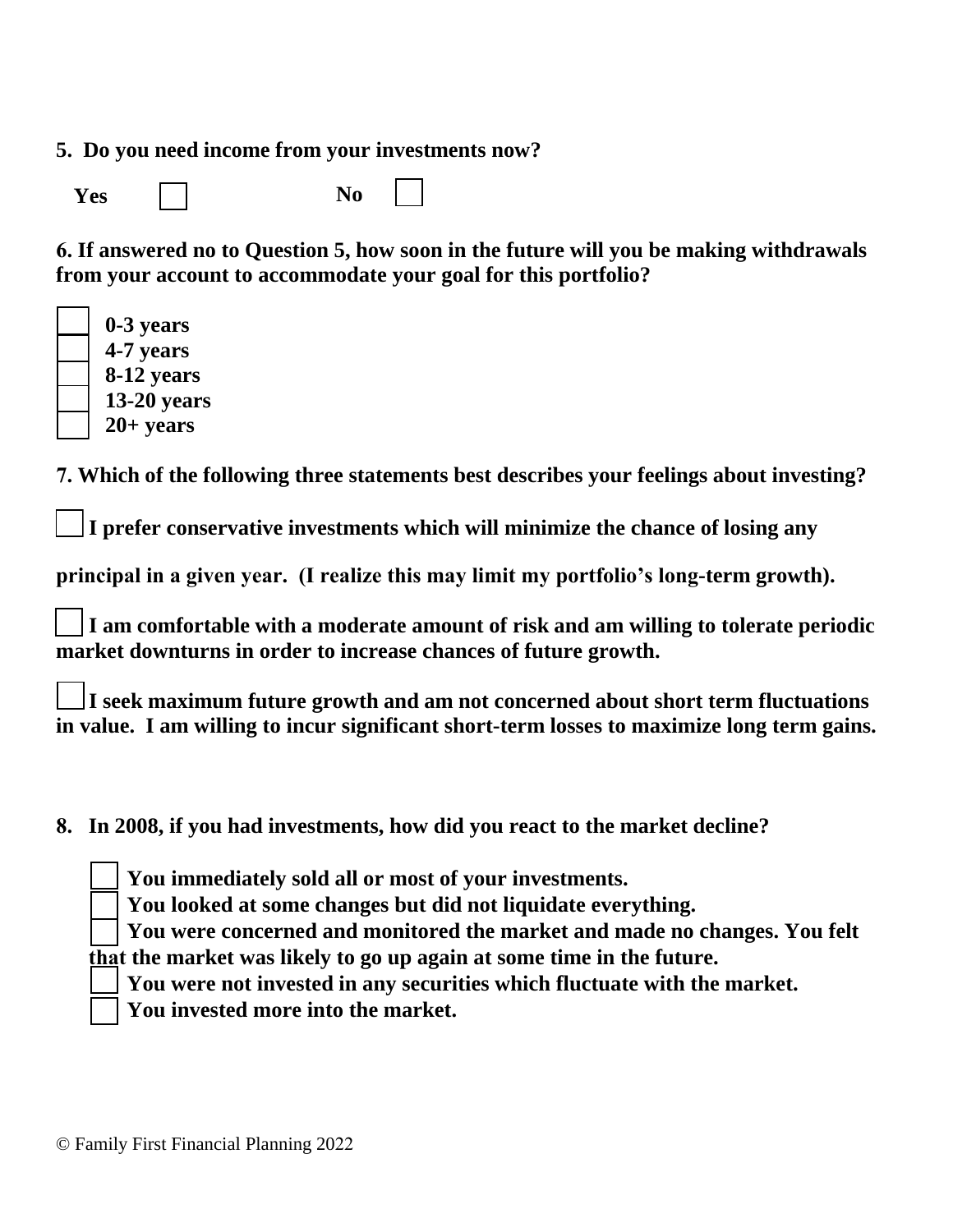**5. Do you need income from your investments now?**

**Yes**  $\Box$  No

**6. If answered no to Question 5, how soon in the future will you be making withdrawals from your account to accommodate your goal for this portfolio?**

| 0-3 years     |
|---------------|
| 4-7 years     |
| 8-12 years    |
| $13-20$ years |
| $20+$ years   |

**7. Which of the following three statements best describes your feelings about investing?**

**I prefer conservative investments which will minimize the chance of losing any**

**principal in a given year. (I realize this may limit my portfolio's long-term growth).** 

**I am comfortable with a moderate amount of risk and am willing to tolerate periodic market downturns in order to increase chances of future growth.** 

**I seek maximum future growth and am not concerned about short term fluctuations in value. I am willing to incur significant short-term losses to maximize long term gains.** 

**8. In 2008, if you had investments, how did you react to the market decline?**

**You immediately sold all or most of your investments.**

**You looked at some changes but did not liquidate everything.**

**You were concerned and monitored the market and made no changes. You felt that the market was likely to go up again at some time in the future.**

**You were not invested in any securities which fluctuate with the market.**

**You invested more into the market.**